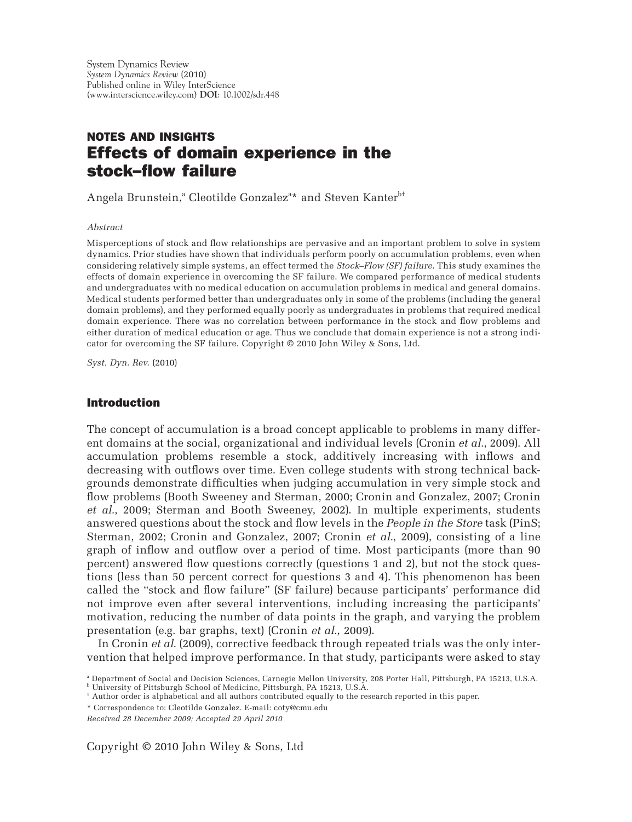## NOTES AND INSIGHTS Effects of domain experience in the stock-flow failure

Angela Brunstein,ª Cleotilde Gonzalezª\* and Steven Kanter<sup>b†</sup>

#### *Abstract*

Misperceptions of stock and flow relationships are pervasive and an important problem to solve in system dynamics. Prior studies have shown that individuals perform poorly on accumulation problems, even when considering relatively simple systems, an effect termed the *Stock–Flow (SF) failure*. This study examines the effects of domain experience in overcoming the SF failure. We compared performance of medical students and undergraduates with no medical education on accumulation problems in medical and general domains. Medical students performed better than undergraduates only in some of the problems (including the general domain problems), and they performed equally poorly as undergraduates in problems that required medical domain experience. There was no correlation between performance in the stock and flow problems and either duration of medical education or age. Thus we conclude that domain experience is not a strong indicator for overcoming the SF failure. Copyright © 2010 John Wiley & Sons, Ltd.

*Syst. Dyn. Rev.* (2010)

#### Introduction

The concept of accumulation is a broad concept applicable to problems in many different domains at the social, organizational and individual levels (Cronin *et al.*, 2009). All accumulation problems resemble a stock, additively increasing with inflows and decreasing with outflows over time. Even college students with strong technical backgrounds demonstrate difficulties when judging accumulation in very simple stock and flow problems (Booth Sweeney and Sterman, 2000; Cronin and Gonzalez, 2007; Cronin *et al.*, 2009; Sterman and Booth Sweeney, 2002). In multiple experiments, students answered questions about the stock and flow levels in the *People in the Store* task (PinS; Sterman, 2002; Cronin and Gonzalez, 2007; Cronin *et al.*, 2009), consisting of a line graph of inflow and outflow over a period of time. Most participants (more than 90 percent) answered flow questions correctly (questions 1 and 2), but not the stock questions (less than 50 percent correct for questions 3 and 4). This phenomenon has been called the "stock and flow failure" (SF failure) because participants' performance did not improve even after several interventions, including increasing the participants' motivation, reducing the number of data points in the graph, and varying the problem presentation (e.g. bar graphs, text) (Cronin *et al.*, 2009).

In Cronin *et al.* (2009), corrective feedback through repeated trials was the only intervention that helped improve performance. In that study, participants were asked to stay

*Received 28 December 2009; Accepted 29 April 2010*

Copyright © 2010 John Wiley & Sons, Ltd

a Department of Social and Decision Sciences, Carnegie Mellon University, 208 Porter Hall, Pittsburgh, PA 15213, U.S.A.

b University of Pittsburgh School of Medicine, Pittsburgh, PA 15213, U.S.A.

<sup>†</sup> Author order is alphabetical and all authors contributed equally to the research reported in this paper.

<sup>\*</sup> Correspondence to: Cleotilde Gonzalez. E-mail: coty@cmu.edu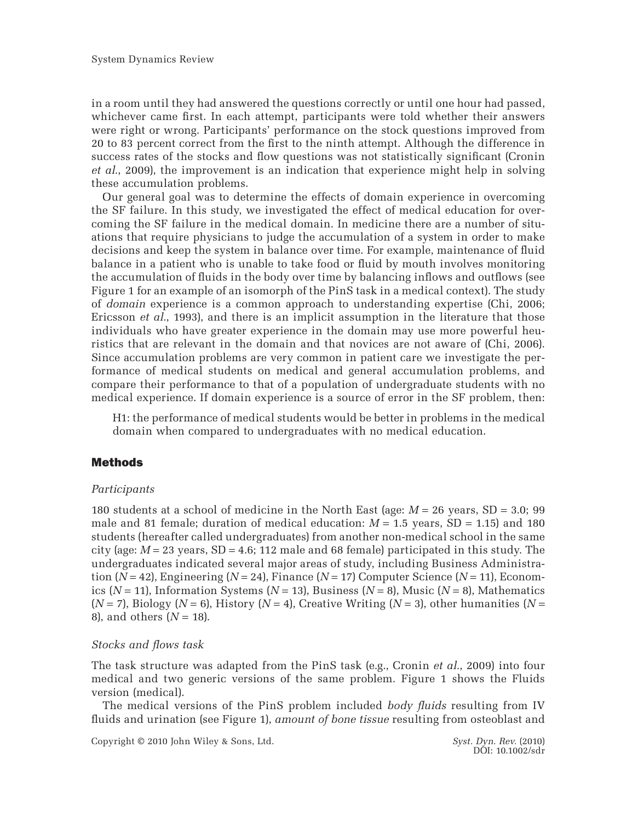in a room until they had answered the questions correctly or until one hour had passed, whichever came first. In each attempt, participants were told whether their answers were right or wrong. Participants' performance on the stock questions improved from 20 to 83 percent correct from the first to the ninth attempt. Although the difference in success rates of the stocks and flow questions was not statistically significant (Cronin *et al.*, 2009), the improvement is an indication that experience might help in solving these accumulation problems.

Our general goal was to determine the effects of domain experience in overcoming the SF failure. In this study, we investigated the effect of medical education for overcoming the SF failure in the medical domain. In medicine there are a number of situations that require physicians to judge the accumulation of a system in order to make decisions and keep the system in balance over time. For example, maintenance of fluid balance in a patient who is unable to take food or fluid by mouth involves monitoring the accumulation of fluids in the body over time by balancing inflows and outflows (see Figure 1 for an example of an isomorph of the PinS task in a medical context). The study of *domain* experience is a common approach to understanding expertise (Chi, 2006; Ericsson *et al.*, 1993), and there is an implicit assumption in the literature that those individuals who have greater experience in the domain may use more powerful heuristics that are relevant in the domain and that novices are not aware of (Chi, 2006). Since accumulation problems are very common in patient care we investigate the performance of medical students on medical and general accumulation problems, and compare their performance to that of a population of undergraduate students with no medical experience. If domain experience is a source of error in the SF problem, then:

H1: the performance of medical students would be better in problems in the medical domain when compared to undergraduates with no medical education.

#### Methods

#### *Participants*

180 students at a school of medicine in the North East (age: *M* = 26 years, SD = 3.0; 99 male and 81 female; duration of medical education:  $M = 1.5$  years,  $SD = 1.15$ ) and 180 students (hereafter called undergraduates) from another non-medical school in the same city (age:  $M = 23$  years,  $SD = 4.6$ ; 112 male and 68 female) participated in this study. The undergraduates indicated several major areas of study, including Business Administration  $(N = 42)$ , Engineering  $(N = 24)$ , Finance  $(N = 17)$  Computer Science  $(N = 11)$ , Economics (*N* = 11), Information Systems (*N* = 13), Business (*N* = 8), Music (*N* = 8), Mathematics  $(N=7)$ , Biology  $(N=6)$ , History  $(N=4)$ , Creative Writing  $(N=3)$ , other humanities  $(N=5)$ 8), and others (*N* = 18).

#### Stocks and flows task

The task structure was adapted from the PinS task (e.g., Cronin *et al.*, 2009) into four medical and two generic versions of the same problem. Figure 1 shows the Fluids version (medical).

The medical versions of the PinS problem included *body fluids* resulting from IV fluids and urination (see Figure 1), *amount of bone tissue* resulting from osteoblast and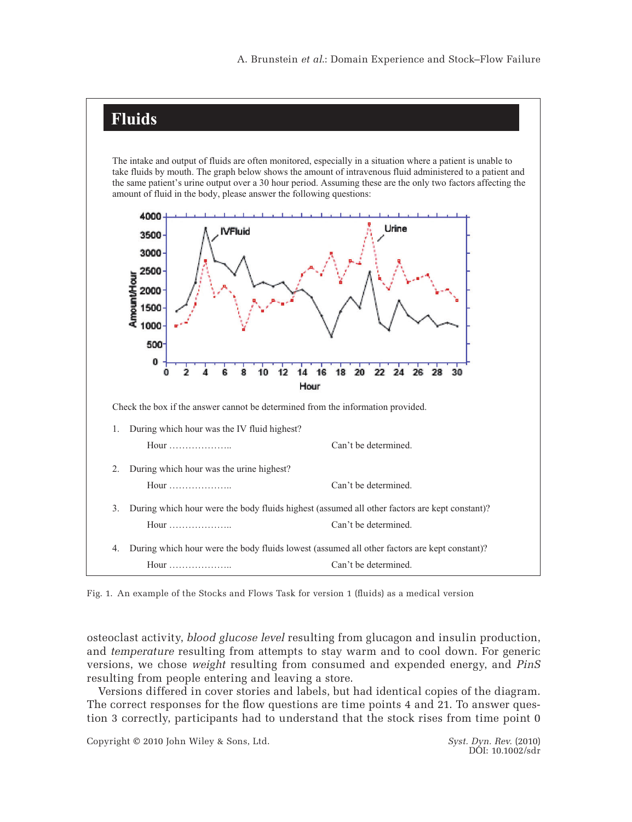# **Fluids**

The intake and output of fluids are often monitored, especially in a situation where a patient is unable to take fluids by mouth. The graph below shows the amount of intravenous fluid administered to a patient and the same patient's urine output over a 30 hour period. Assuming these are the only two factors affecting the amount of fluid in the body, please answer the following questions:



Fig. 1. An example of the Stocks and Flows Task for version 1 (fluids) as a medical version

osteoclast activity, *blood glucose level* resulting from glucagon and insulin production, and *temperature* resulting from attempts to stay warm and to cool down. For generic versions, we chose *weight* resulting from consumed and expended energy, and *PinS* resulting from people entering and leaving a store.

Versions differed in cover stories and labels, but had identical copies of the diagram. The correct responses for the flow questions are time points 4 and 21. To answer question 3 correctly, participants had to understand that the stock rises from time point 0

Copyright © 2010 John Wiley & Sons, Ltd. *Syst. Dyn. Rev.* (2010)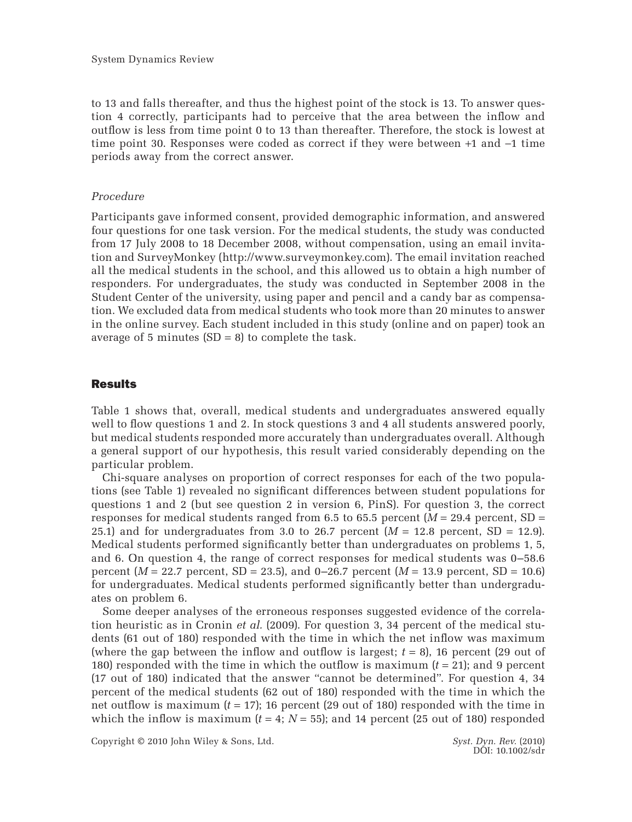to 13 and falls thereafter, and thus the highest point of the stock is 13. To answer question 4 correctly, participants had to perceive that the area between the inflow and outflow is less from time point 0 to 13 than thereafter. Therefore, the stock is lowest at time point 30. Responses were coded as correct if they were between +1 and −1 time periods away from the correct answer.

#### *Procedure*

Participants gave informed consent, provided demographic information, and answered four questions for one task version. For the medical students, the study was conducted from 17 July 2008 to 18 December 2008, without compensation, using an email invitation and SurveyMonkey (http://www.surveymonkey.com). The email invitation reached all the medical students in the school, and this allowed us to obtain a high number of responders. For undergraduates, the study was conducted in September 2008 in the Student Center of the university, using paper and pencil and a candy bar as compensation. We excluded data from medical students who took more than 20 minutes to answer in the online survey. Each student included in this study (online and on paper) took an average of 5 minutes  $(SD = 8)$  to complete the task.

#### Results

Table 1 shows that, overall, medical students and undergraduates answered equally well to flow questions 1 and 2. In stock questions 3 and 4 all students answered poorly, but medical students responded more accurately than undergraduates overall. Although a general support of our hypothesis, this result varied considerably depending on the particular problem.

Chi-square analyses on proportion of correct responses for each of the two populations (see Table 1) revealed no significant differences between student populations for questions 1 and 2 (but see question 2 in version 6, PinS). For question 3, the correct responses for medical students ranged from 6.5 to 65.5 percent  $(M = 29.4$  percent, SD = 25.1) and for undergraduates from 3.0 to 26.7 percent  $(M = 12.8$  percent, SD = 12.9). Medical students performed significantly better than undergraduates on problems 1, 5, and 6. On question 4, the range of correct responses for medical students was 0–58.6 percent  $(M = 22.7 \text{ percent}, SD = 23.5)$ , and 0–26.7 percent  $(M = 13.9 \text{ percent}, SD = 10.6)$ for undergraduates. Medical students performed significantly better than undergraduates on problem 6.

Some deeper analyses of the erroneous responses suggested evidence of the correlation heuristic as in Cronin *et al.* (2009). For question 3, 34 percent of the medical students (61 out of 180) responded with the time in which the net inflow was maximum (where the gap between the inflow and outflow is largest;  $t = 8$ ), 16 percent (29 out of 180) responded with the time in which the outflow is maximum  $(t = 21)$ ; and 9 percent (17 out of 180) indicated that the answer "cannot be determined". For question 4, 34 percent of the medical students (62 out of 180) responded with the time in which the net outflow is maximum  $(t = 17)$ ; 16 percent (29 out of 180) responded with the time in which the inflow is maximum  $(t = 4; N = 55)$ ; and 14 percent (25 out of 180) responded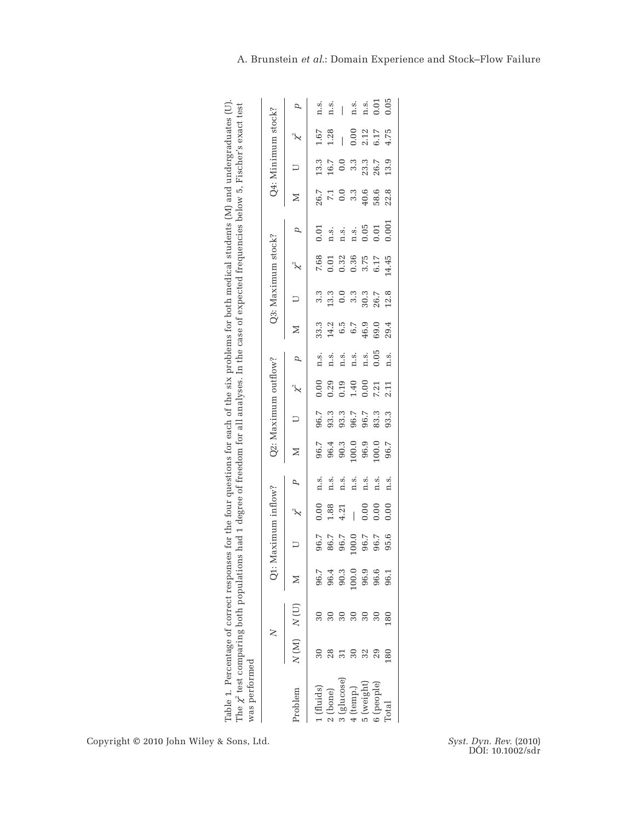| The $\chi^2$ test comparing both populations had 1 degree of freedom for all analyses. In the case of expected frequencies below 5, Fischer's exact test<br>was performed |                 |                 |                                        |                                           |                            |                |                                        |                                                      |                                                                     |                                                                                                                                                                                                                                                                                                                                                                                                                                                                                                                                                |                                                    |                                                                                                                                                                                                                                                                                                                                                                                       |                                                       |                                                                                            |                                                    |                                       |                                                           |
|---------------------------------------------------------------------------------------------------------------------------------------------------------------------------|-----------------|-----------------|----------------------------------------|-------------------------------------------|----------------------------|----------------|----------------------------------------|------------------------------------------------------|---------------------------------------------------------------------|------------------------------------------------------------------------------------------------------------------------------------------------------------------------------------------------------------------------------------------------------------------------------------------------------------------------------------------------------------------------------------------------------------------------------------------------------------------------------------------------------------------------------------------------|----------------------------------------------------|---------------------------------------------------------------------------------------------------------------------------------------------------------------------------------------------------------------------------------------------------------------------------------------------------------------------------------------------------------------------------------------|-------------------------------------------------------|--------------------------------------------------------------------------------------------|----------------------------------------------------|---------------------------------------|-----------------------------------------------------------|
|                                                                                                                                                                           |                 |                 |                                        | Q1: Maximum inflow?                       |                            |                |                                        |                                                      | Q2: Maximum outflow?                                                |                                                                                                                                                                                                                                                                                                                                                                                                                                                                                                                                                |                                                    | Q3: Maximum stock?                                                                                                                                                                                                                                                                                                                                                                    |                                                       |                                                                                            | Q4: Minimum stock?                                 |                                       |                                                           |
| $N(M)$ $N(D)$                                                                                                                                                             |                 |                 | $\geq$                                 |                                           | $\chi^2$                   | $\overline{P}$ |                                        |                                                      | M U $\chi^2$                                                        |                                                                                                                                                                                                                                                                                                                                                                                                                                                                                                                                                |                                                    | M U $\chi^2$                                                                                                                                                                                                                                                                                                                                                                          |                                                       |                                                                                            | M $U \nightharpoonup \mathcal{X}^2$                |                                       |                                                           |
| (fluids)                                                                                                                                                                  |                 |                 |                                        |                                           |                            | n.s.           |                                        |                                                      |                                                                     |                                                                                                                                                                                                                                                                                                                                                                                                                                                                                                                                                |                                                    | 3.3                                                                                                                                                                                                                                                                                                                                                                                   |                                                       |                                                                                            |                                                    |                                       | n.s.                                                      |
| (bone)                                                                                                                                                                    | 28              | 30              |                                        |                                           |                            |                |                                        |                                                      |                                                                     |                                                                                                                                                                                                                                                                                                                                                                                                                                                                                                                                                | $33.3$<br>$14.2$<br>$6.5$                          | $\begin{array}{c} 13.3 \\ 0.0 \end{array}$                                                                                                                                                                                                                                                                                                                                            |                                                       |                                                                                            | $\begin{array}{c} 13.3 \\ 16.7 \\ 0.0 \end{array}$ | $1.67$<br>$1.28$                      | n.s.                                                      |
| (glucose)                                                                                                                                                                 | $\overline{31}$ | $30\,$          | 56.7<br>96.3<br>96.9 96.9<br>96.9 96.9 | 7<br>86.7<br>86.7<br>96.7<br>96.7<br>96.8 | $0.38$<br>$1.31$<br>$4.21$ |                | 96.7<br>96.3<br>90.000<br>96.9<br>96.7 | 7. 8. 8. 7. 7. 8. 8.<br>மக்கி மக்கி<br>சிலை சிலை சில | $0.29$<br>$0.29$<br>$0.140$<br>$0.21$<br>$0.21$<br>$0.21$<br>$0.21$ | $\begin{array}{ccccccccc}\n\dot{\mathbf{s}} & \dot{\mathbf{s}} & \dot{\mathbf{s}} & \dot{\mathbf{s}} & \dot{\mathbf{s}} & \dot{\mathbf{s}} & \dot{\mathbf{s}} & \dot{\mathbf{s}} & \dot{\mathbf{s}} & \dot{\mathbf{s}} & \dot{\mathbf{s}} & \dot{\mathbf{s}} & \dot{\mathbf{s}} & \dot{\mathbf{s}} & \dot{\mathbf{s}} & \dot{\mathbf{s}} & \dot{\mathbf{s}} & \dot{\mathbf{s}} & \dot{\mathbf{s}} & \dot{\mathbf{s}} & \dot{\mathbf{s}} & \dot{\mathbf{s}} & \dot{\mathbf{s}} & \dot{\mathbf{s}} & \dot{\mathbf{s}} & \dot{\mathbf{s}} & \dot$ |                                                    |                                                                                                                                                                                                                                                                                                                                                                                       | 7.68<br>0.01<br>0.32<br>0.35<br>0.17<br>0.17<br>14.45 | $\begin{array}{c} 0.01 \\ \text{m.s.} \\ \text{n.s.} \\ 0.05 \\ 0.01 \\ 0.001 \end{array}$ |                                                    |                                       | $\overline{\phantom{a}}$                                  |
| temp.)                                                                                                                                                                    | 30              | 30              |                                        |                                           |                            |                |                                        |                                                      |                                                                     |                                                                                                                                                                                                                                                                                                                                                                                                                                                                                                                                                |                                                    |                                                                                                                                                                                                                                                                                                                                                                                       |                                                       |                                                                                            |                                                    |                                       |                                                           |
| (weight                                                                                                                                                                   | 32              | $\overline{30}$ |                                        |                                           |                            |                |                                        |                                                      |                                                                     |                                                                                                                                                                                                                                                                                                                                                                                                                                                                                                                                                | $6.7$<br>$6.9$<br>$6.9$<br>$6.9$<br>$6.9$<br>$2.9$ | $\begin{array}{c} 3 \\ 3 \\ 0 \\ 2 \\ 6 \\ 1 \\ 2 \\ 6 \\ 7 \\ 8 \\ 9 \\ 1 \\ 9 \\ 1 \\ 9 \\ 1 \\ 9 \\ 1 \\ 1 \\ 1 \\ 1 \\ 2 \\ 3 \\ 4 \\ 5 \\ 6 \\ 7 \\ 9 \\ 1 \\ 2 \\ 4 \\ 5 \\ 9 \\ 1 \\ 2 \\ 4 \\ 5 \\ 9 \\ 1 \\ 2 \\ 4 \\ 5 \\ 9 \\ 1 \\ 2 \\ 4 \\ 5 \\ 4 \\ 5 \\ 6 \\ 7 \\ 9 \\ 1 \\ 2 \\ 4 \\ 5 \\ 4 \\ 5 \\ 6 \\ 7 \\ 8 \\ 9 \\ 1 \\ 9 \\ 1 \\ 9 \\ 1 \\ 1 \\ 1 \\ 1 \\ 1 \\$ |                                                       |                                                                                            | 333<br>2357<br>259                                 | $0.00$<br>$2.17$<br>$6.175$<br>$4.75$ | $\begin{array}{c} 1.3 \\ 1.3 \\ 0.01 \\ 0.05 \end{array}$ |
| (people)                                                                                                                                                                  | 29              |                 |                                        |                                           |                            |                |                                        |                                                      |                                                                     | $\begin{array}{c} 0.5 \\ 0.3 \\ \text{n.s.} \end{array}$                                                                                                                                                                                                                                                                                                                                                                                                                                                                                       |                                                    |                                                                                                                                                                                                                                                                                                                                                                                       |                                                       |                                                                                            |                                                    |                                       |                                                           |
|                                                                                                                                                                           | $^{180}$        | $^{80}$         |                                        |                                           |                            |                |                                        |                                                      |                                                                     |                                                                                                                                                                                                                                                                                                                                                                                                                                                                                                                                                |                                                    |                                                                                                                                                                                                                                                                                                                                                                                       |                                                       |                                                                                            |                                                    |                                       |                                                           |
|                                                                                                                                                                           |                 |                 |                                        |                                           |                            |                |                                        |                                                      |                                                                     |                                                                                                                                                                                                                                                                                                                                                                                                                                                                                                                                                |                                                    |                                                                                                                                                                                                                                                                                                                                                                                       |                                                       |                                                                                            |                                                    |                                       |                                                           |

Table 1. Percentage of correct responses for the four questions for each of the six problems for both medical students (M) and undergraduates (U).

Table 1. Percentage of correct responses for the four questions for each of the six problems for both medical students (M) and undergraduates (U).

Copyright © 2010 John Wiley & Sons, Ltd.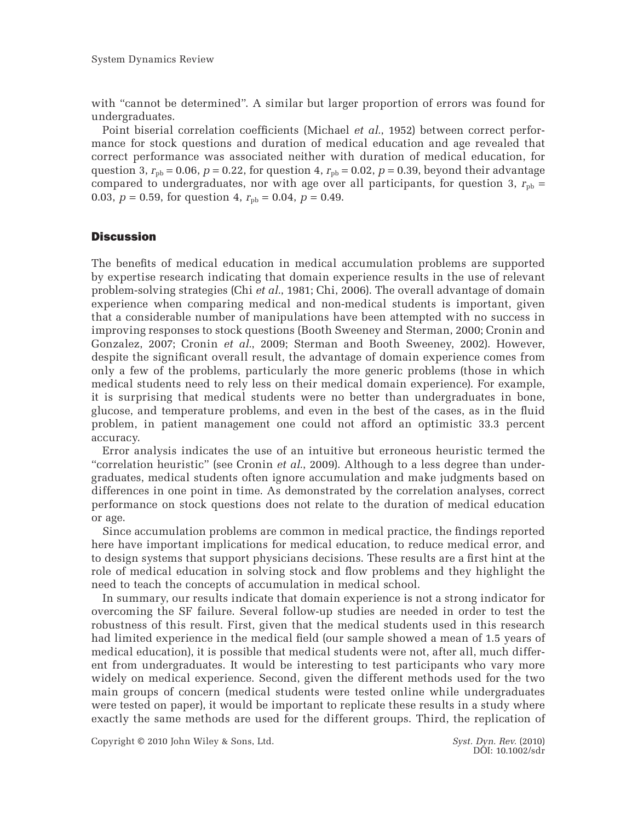with "cannot be determined". A similar but larger proportion of errors was found for undergraduates.

Point biserial correlation coefficients (Michael *et al.*, 1952) between correct performance for stock questions and duration of medical education and age revealed that correct performance was associated neither with duration of medical education, for question 3,  $r_{\rm pb} = 0.06$ ,  $p = 0.22$ , for question 4,  $r_{\rm pb} = 0.02$ ,  $p = 0.39$ , beyond their advantage compared to undergraduates, nor with age over all participants, for question 3,  $r_{\text{ub}} =$ 0.03,  $p = 0.59$ , for question 4,  $r_{\rm pb} = 0.04$ ,  $p = 0.49$ .

### **Discussion**

The benefits of medical education in medical accumulation problems are supported by expertise research indicating that domain experience results in the use of relevant problem-solving strategies (Chi *et al.*, 1981; Chi, 2006). The overall advantage of domain experience when comparing medical and non-medical students is important, given that a considerable number of manipulations have been attempted with no success in improving responses to stock questions (Booth Sweeney and Sterman, 2000; Cronin and Gonzalez, 2007; Cronin *et al.*, 2009; Sterman and Booth Sweeney, 2002). However, despite the significant overall result, the advantage of domain experience comes from only a few of the problems, particularly the more generic problems (those in which medical students need to rely less on their medical domain experience). For example, it is surprising that medical students were no better than undergraduates in bone, glucose, and temperature problems, and even in the best of the cases, as in the fluid problem, in patient management one could not afford an optimistic 33.3 percent accuracy.

Error analysis indicates the use of an intuitive but erroneous heuristic termed the "correlation heuristic" (see Cronin *et al.*, 2009). Although to a less degree than undergraduates, medical students often ignore accumulation and make judgments based on differences in one point in time. As demonstrated by the correlation analyses, correct performance on stock questions does not relate to the duration of medical education or age.

Since accumulation problems are common in medical practice, the findings reported here have important implications for medical education, to reduce medical error, and to design systems that support physicians decisions. These results are a first hint at the role of medical education in solving stock and flow problems and they highlight the need to teach the concepts of accumulation in medical school.

In summary, our results indicate that domain experience is not a strong indicator for overcoming the SF failure. Several follow-up studies are needed in order to test the robustness of this result. First, given that the medical students used in this research had limited experience in the medical field (our sample showed a mean of 1.5 years of medical education), it is possible that medical students were not, after all, much different from undergraduates. It would be interesting to test participants who vary more widely on medical experience. Second, given the different methods used for the two main groups of concern (medical students were tested online while undergraduates were tested on paper), it would be important to replicate these results in a study where exactly the same methods are used for the different groups. Third, the replication of

Copyright © 2010 John Wiley & Sons, Ltd. *Syst. Dyn. Rev.* (2010)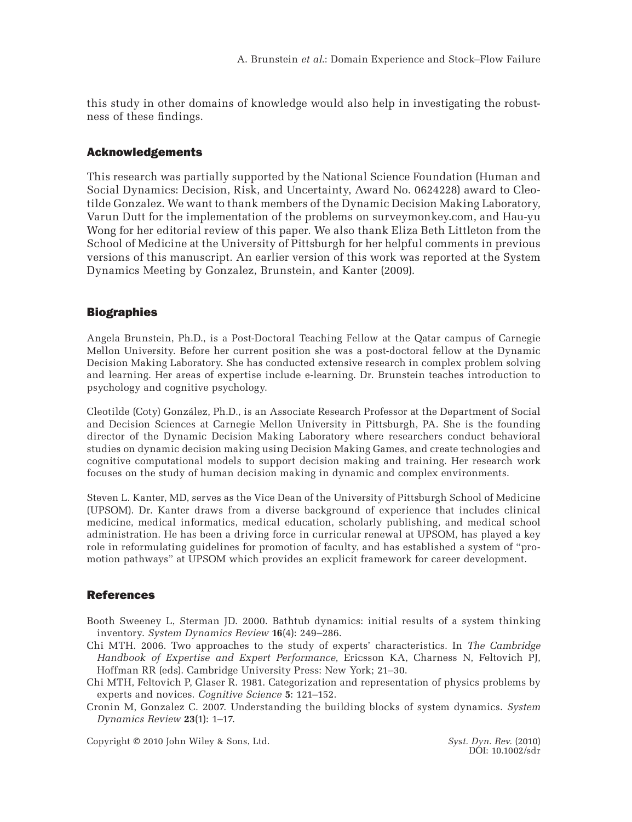this study in other domains of knowledge would also help in investigating the robustness of these findings.

#### Acknowledgements

This research was partially supported by the National Science Foundation (Human and Social Dynamics: Decision, Risk, and Uncertainty, Award No. 0624228) award to Cleotilde Gonzalez. We want to thank members of the Dynamic Decision Making Laboratory, Varun Dutt for the implementation of the problems on surveymonkey.com, and Hau-yu Wong for her editorial review of this paper. We also thank Eliza Beth Littleton from the School of Medicine at the University of Pittsburgh for her helpful comments in previous versions of this manuscript. An earlier version of this work was reported at the System Dynamics Meeting by Gonzalez, Brunstein, and Kanter (2009).

#### **Biographies**

Angela Brunstein, Ph.D., is a Post-Doctoral Teaching Fellow at the Qatar campus of Carnegie Mellon University. Before her current position she was a post-doctoral fellow at the Dynamic Decision Making Laboratory. She has conducted extensive research in complex problem solving and learning. Her areas of expertise include e-learning. Dr. Brunstein teaches introduction to psychology and cognitive psychology.

Cleotilde (Coty) González, Ph.D., is an Associate Research Professor at the Department of Social and Decision Sciences at Carnegie Mellon University in Pittsburgh, PA. She is the founding director of the Dynamic Decision Making Laboratory where researchers conduct behavioral studies on dynamic decision making using Decision Making Games, and create technologies and cognitive computational models to support decision making and training. Her research work focuses on the study of human decision making in dynamic and complex environments.

Steven L. Kanter, MD, serves as the Vice Dean of the University of Pittsburgh School of Medicine (UPSOM). Dr. Kanter draws from a diverse background of experience that includes clinical medicine, medical informatics, medical education, scholarly publishing, and medical school administration. He has been a driving force in curricular renewal at UPSOM, has played a key role in reformulating guidelines for promotion of faculty, and has established a system of "promotion pathways" at UPSOM which provides an explicit framework for career development.

#### **References**

Booth Sweeney L, Sterman JD. 2000. Bathtub dynamics: initial results of a system thinking inventory. *System Dynamics Review* **16**(4): 249–286.

- Chi MTH. 2006. Two approaches to the study of experts' characteristics. In *The Cambridge Handbook of Expertise and Expert Performance*, Ericsson KA, Charness N, Feltovich PJ, Hoffman RR (eds). Cambridge University Press: New York; 21–30.
- Chi MTH, Feltovich P, Glaser R. 1981. Categorization and representation of physics problems by experts and novices. *Cognitive Science* **5**: 121–152.
- Cronin M, Gonzalez C. 2007. Understanding the building blocks of system dynamics. *System Dynamics Review* **23**(1): 1–17.

Copyright © 2010 John Wiley & Sons, Ltd. *Syst. Dyn. Rev.* (2010)